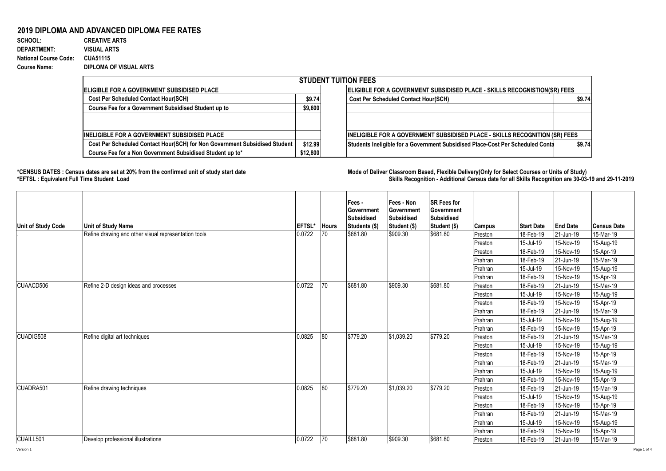## **2019 DIPLOMA AND ADVANCED DIPLOMA FEE RATES**

**SCHOOL: CREATIVE ARTS** 970 1 0.001030928 **DEPARTMENT: VISUAL ARTS National Course Code: CUA51115 Course Name: DIPLOMA OF VISUAL ARTS**

| <b>STUDENT TUITION FEES</b>                                                |          |                                                                                          |  |  |  |  |  |  |  |  |
|----------------------------------------------------------------------------|----------|------------------------------------------------------------------------------------------|--|--|--|--|--|--|--|--|
| IELIGIBLE FOR A GOVERNMENT SUBSIDISED PLACE.                               |          | <b>ELIGIBLE FOR A GOVERNMENT SUBSIDISED PLACE - SKILLS RECOGNISTION(SR) FEES</b>         |  |  |  |  |  |  |  |  |
| <b>Cost Per Scheduled Contact Hour(SCH)</b>                                | \$9.74   | <b>Cost Per Scheduled Contact Hour(SCH)</b><br>\$9.74                                    |  |  |  |  |  |  |  |  |
| Course Fee for a Government Subsidised Student up to                       | \$9,600  |                                                                                          |  |  |  |  |  |  |  |  |
|                                                                            |          |                                                                                          |  |  |  |  |  |  |  |  |
|                                                                            |          |                                                                                          |  |  |  |  |  |  |  |  |
| <b>IINELIGIBLE FOR A GOVERNMENT SUBSIDISED PLACE</b>                       |          | <b>INELIGIBLE FOR A GOVERNMENT SUBSIDISED PLACE - SKILLS RECOGNITION (SR) FEES</b>       |  |  |  |  |  |  |  |  |
| Cost Per Scheduled Contact Hour(SCH) for Non Government Subsidised Student | \$12.99  | Students Ineligible for a Government Subsidised Place-Cost Per Scheduled Conta<br>\$9.74 |  |  |  |  |  |  |  |  |
| Course Fee for a Non Government Subsidised Student up to*                  | \$12,800 |                                                                                          |  |  |  |  |  |  |  |  |

**\*CENSUS DATES : Census dates are set at 20% from the confirmed unit of study start date Mode of Delivery:Classroom Based, Flexible Delivery(Only for Select Courses or Units of Study) \*EFTSL : Equivalent Full Time Student Load Skills Recognition - Additional Census date for all Skills Recognition are 30-03-19 and 29-11-2019** 

| <b>Unit of Study Code</b> | <b>Unit of Study Name</b>                            | EFTSL* | <b>Hours</b> | Fees -<br>Government<br>Subsidised<br>Students (\$) | Fees - Non<br>Government<br>Subsidised<br>Student (\$) | <b>SR Fees for</b><br>Government<br><b>Subsidised</b><br>Student (\$) | <b>Campus</b> | <b>Start Date</b> | <b>End Date</b> | <b>Census Date</b> |
|---------------------------|------------------------------------------------------|--------|--------------|-----------------------------------------------------|--------------------------------------------------------|-----------------------------------------------------------------------|---------------|-------------------|-----------------|--------------------|
|                           | Refine drawing and other visual representation tools | 0.0722 | 70           | \$681.80                                            | \$909.30                                               | \$681.80                                                              | Preston       | 18-Feb-19         | 21-Jun-19       | 15-Mar-19          |
|                           |                                                      |        |              |                                                     |                                                        |                                                                       | Preston       | 15-Jul-19         | 15-Nov-19       | 15-Aug-19          |
|                           |                                                      |        |              |                                                     |                                                        |                                                                       | Preston       | 18-Feb-19         | 15-Nov-19       | 15-Apr-19          |
|                           |                                                      |        |              |                                                     |                                                        |                                                                       | Prahran       | 18-Feb-19         | 21-Jun-19       | 15-Mar-19          |
|                           |                                                      |        |              |                                                     |                                                        |                                                                       | Prahran       | 15-Jul-19         | 15-Nov-19       | 15-Aug-19          |
|                           |                                                      |        |              |                                                     |                                                        |                                                                       | Prahran       | 18-Feb-19         | 15-Nov-19       | 15-Apr-19          |
| CUAACD506                 | Refine 2-D design ideas and processes                | 0.0722 | 70           | \$681.80                                            | \$909.30                                               | \$681.80                                                              | Preston       | 18-Feb-19         | 21-Jun-19       | 15-Mar-19          |
|                           |                                                      |        |              |                                                     |                                                        |                                                                       | Preston       | 15-Jul-19         | 15-Nov-19       | 15-Aug-19          |
|                           |                                                      |        |              |                                                     |                                                        |                                                                       | Preston       | 18-Feb-19         | 15-Nov-19       | 15-Apr-19          |
|                           |                                                      |        |              |                                                     |                                                        |                                                                       | Prahran       | 18-Feb-19         | 21-Jun-19       | 15-Mar-19          |
|                           |                                                      |        |              |                                                     |                                                        |                                                                       | Prahran       | 15-Jul-19         | 15-Nov-19       | 15-Aug-19          |
|                           |                                                      |        |              |                                                     |                                                        |                                                                       | Prahran       | 18-Feb-19         | 15-Nov-19       | 15-Apr-19          |
| CUADIG508                 | Refine digital art techniques                        | 0.0825 | 80           | \$779.20                                            | \$1,039.20                                             | \$779.20                                                              | Preston       | 18-Feb-19         | 21-Jun-19       | 15-Mar-19          |
|                           |                                                      |        |              |                                                     |                                                        |                                                                       | Preston       | 15-Jul-19         | 15-Nov-19       | 15-Aug-19          |
|                           |                                                      |        |              |                                                     |                                                        |                                                                       | Preston       | 18-Feb-19         | 15-Nov-19       | 15-Apr-19          |
|                           |                                                      |        |              |                                                     |                                                        |                                                                       | Prahran       | 18-Feb-19         | 21-Jun-19       | 15-Mar-19          |
|                           |                                                      |        |              |                                                     |                                                        |                                                                       | Prahran       | 15-Jul-19         | 15-Nov-19       | 15-Aug-19          |
|                           |                                                      |        |              |                                                     |                                                        |                                                                       | Prahran       | 18-Feb-19         | 15-Nov-19       | 15-Apr-19          |
| CUADRA501                 | Refine drawing techniques                            | 0.0825 | 80           | \$779.20                                            | \$1,039.20                                             | \$779.20                                                              | Preston       | 18-Feb-19         | 21-Jun-19       | 15-Mar-19          |
|                           |                                                      |        |              |                                                     |                                                        |                                                                       | Preston       | 15-Jul-19         | 15-Nov-19       | 15-Aug-19          |
|                           |                                                      |        |              |                                                     |                                                        |                                                                       | Preston       | 18-Feb-19         | 15-Nov-19       | 15-Apr-19          |
|                           |                                                      |        |              |                                                     |                                                        |                                                                       | Prahran       | 18-Feb-19         | 21-Jun-19       | 15-Mar-19          |
|                           |                                                      |        |              |                                                     |                                                        |                                                                       | Prahran       | 15-Jul-19         | 15-Nov-19       | 15-Aug-19          |
|                           |                                                      |        |              |                                                     |                                                        |                                                                       | Prahran       | 18-Feb-19         | 15-Nov-19       | 15-Apr-19          |
| CUAILL501                 | Develop professional illustrations                   | 0.0722 | 70           | \$681.80                                            | \$909.30                                               | \$681.80                                                              | Preston       | 18-Feb-19         | 21-Jun-19       | 15-Mar-19          |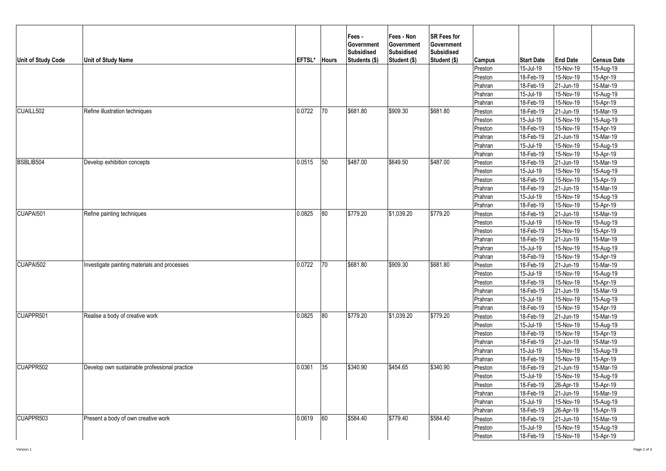| Unit of Study Code    | <b>Unit of Study Name</b>                     | EFTSL* | <b>Hours</b> | Fees -<br>Government<br><b>Subsidised</b><br>Students (\$) | Fees - Non<br>Government<br><b>Subsidised</b><br>Student (\$) | <b>SR Fees for</b><br><b>Government</b><br><b>Subsidised</b><br>Student (\$) | Campus  | <b>Start Date</b> | <b>End Date</b> | <b>Census Date</b> |
|-----------------------|-----------------------------------------------|--------|--------------|------------------------------------------------------------|---------------------------------------------------------------|------------------------------------------------------------------------------|---------|-------------------|-----------------|--------------------|
|                       |                                               |        |              |                                                            |                                                               |                                                                              | Preston | 15-Jul-19         | 15-Nov-19       | 15-Aug-19          |
|                       |                                               |        |              |                                                            |                                                               |                                                                              | Preston | 18-Feb-19         | 15-Nov-19       | 15-Apr-19          |
|                       |                                               |        |              |                                                            |                                                               |                                                                              | Prahran | 18-Feb-19         | 21-Jun-19       | 15-Mar-19          |
|                       |                                               |        |              |                                                            |                                                               |                                                                              | Prahran | 15-Jul-19         | 15-Nov-19       | 15-Aug-19          |
|                       |                                               |        |              |                                                            |                                                               |                                                                              | Prahran | 18-Feb-19         | 15-Nov-19       | 15-Apr-19          |
| CUAILL502             | Refine illustration techniques                | 0.0722 | 70           | \$681.80                                                   | \$909.30                                                      | \$681.80                                                                     | Preston | 18-Feb-19         | 21-Jun-19       | 15-Mar-19          |
|                       |                                               |        |              |                                                            |                                                               |                                                                              | Preston | 15-Jul-19         | 15-Nov-19       | 15-Aug-19          |
|                       |                                               |        |              |                                                            |                                                               |                                                                              | Preston | 18-Feb-19         | 15-Nov-19       | 15-Apr-19          |
|                       |                                               |        |              |                                                            |                                                               |                                                                              | Prahran | 18-Feb-19         | 21-Jun-19       | $15-Mar-19$        |
|                       |                                               |        |              |                                                            |                                                               |                                                                              | Prahran | 15-Jul-19         | 15-Nov-19       | 15-Aug-19          |
|                       |                                               |        |              |                                                            |                                                               |                                                                              | Prahran | 18-Feb-19         | 15-Nov-19       | 15-Apr-19          |
| BSBLIB504             | Develop exhibition concepts                   | 0.0515 | 50           | \$487.00                                                   | \$649.50                                                      | \$487.00                                                                     | Preston | 18-Feb-19         | 21-Jun-19       | 15-Mar-19          |
|                       |                                               |        |              |                                                            |                                                               |                                                                              | Preston | 15-Jul-19         | 15-Nov-19       | 15-Aug-19          |
|                       |                                               |        |              |                                                            |                                                               |                                                                              | Preston | 18-Feb-19         | 15-Nov-19       | 15-Apr-19          |
|                       |                                               |        |              |                                                            |                                                               |                                                                              | Prahran | 18-Feb-19         | 21-Jun-19       | 15-Mar-19          |
|                       |                                               |        |              |                                                            |                                                               |                                                                              | Prahran | 15-Jul-19         | 15-Nov-19       | 15-Aug-19          |
|                       |                                               |        |              |                                                            |                                                               |                                                                              | Prahran | 18-Feb-19         | 15-Nov-19       | 15-Apr-19          |
| CUAPAI501             | Refine painting techniques                    | 0.0825 | 80           | \$779.20                                                   | \$1,039.20                                                    | \$779.20                                                                     | Preston | 18-Feb-19         | 21-Jun-19       | 15-Mar-19          |
|                       |                                               |        |              |                                                            |                                                               |                                                                              | Preston | 15-Jul-19         | 15-Nov-19       | 15-Aug-19          |
|                       |                                               |        |              |                                                            |                                                               |                                                                              | Preston | 18-Feb-19         | 15-Nov-19       | 15-Apr-19          |
|                       |                                               |        |              |                                                            |                                                               |                                                                              | Prahran | 18-Feb-19         | 21-Jun-19       | 15-Mar-19          |
|                       |                                               |        |              |                                                            |                                                               |                                                                              | Prahran | 15-Jul-19         | 15-Nov-19       | 15-Aug-19          |
|                       |                                               |        |              |                                                            |                                                               |                                                                              | Prahran | 18-Feb-19         | 15-Nov-19       | 15-Apr-19          |
| CUAPAI502             | Investigate painting materials and processes  | 0.0722 | 70           | \$681.80                                                   | \$909.30                                                      | \$681.80                                                                     | Preston | 18-Feb-19         | 21-Jun-19       | $15-Mar-19$        |
|                       |                                               |        |              |                                                            |                                                               |                                                                              | Preston | 15-Jul-19         | 15-Nov-19       | $15-Aug-19$        |
|                       |                                               |        |              |                                                            |                                                               |                                                                              | Preston | 18-Feb-19         | 15-Nov-19       | 15-Apr-19          |
|                       |                                               |        |              |                                                            |                                                               |                                                                              | Prahran | 18-Feb-19         | 21-Jun-19       | 15-Mar-19          |
|                       |                                               |        |              |                                                            |                                                               |                                                                              | Prahran | 15-Jul-19         | 15-Nov-19       | 15-Aug-19          |
|                       |                                               |        |              |                                                            |                                                               |                                                                              | Prahran | 18-Feb-19         | 15-Nov-19       | 15-Apr-19          |
| CUAPPR <sub>501</sub> | Realise a body of creative work               | 0.0825 | 80           | \$779.20                                                   | \$1,039.20                                                    | \$779.20                                                                     | Preston | 18-Feb-19         | 21-Jun-19       | 15-Mar-19          |
|                       |                                               |        |              |                                                            |                                                               |                                                                              | Preston | 15-Jul-19         | 15-Nov-19       | 15-Aug-19          |
|                       |                                               |        |              |                                                            |                                                               |                                                                              | Preston | 18-Feb-19         | 15-Nov-19       | 15-Apr-19          |
|                       |                                               |        |              |                                                            |                                                               |                                                                              | Prahran | 18-Feb-19         | 21-Jun-19       | 15-Mar-19          |
|                       |                                               |        |              |                                                            |                                                               |                                                                              | Prahran | 15-Jul-19         | 15-Nov-19       | 15-Aug-19          |
|                       |                                               |        |              |                                                            |                                                               |                                                                              | Prahran | 18-Feb-19         | 15-Nov-19       | 15-Apr-19          |
| CUAPPR502             | Develop own sustainable professional practice | 0.0361 | 35           | \$340.90                                                   | \$454.65                                                      | \$340.90                                                                     | Preston | 18-Feb-19         | 21-Jun-19       | $15-Mar-19$        |
|                       |                                               |        |              |                                                            |                                                               |                                                                              | Preston | 15-Jul-19         | 15-Nov-19       | 15-Aug-19          |
|                       |                                               |        |              |                                                            |                                                               |                                                                              | Preston | 18-Feb-19         | 26-Apr-19       | 15-Apr-19          |
|                       |                                               |        |              |                                                            |                                                               |                                                                              | Prahran | 18-Feb-19         | 21-Jun-19       | 15-Mar-19          |
|                       |                                               |        |              |                                                            |                                                               |                                                                              | Prahran | 15-Jul-19         | 15-Nov-19       | 15-Aug-19          |
|                       |                                               |        |              |                                                            |                                                               |                                                                              | Prahran | 18-Feb-19         | 26-Apr-19       | 15-Apr-19          |
| CUAPPR503             | Present a body of own creative work           | 0.0619 | 60           | \$584.40                                                   | \$779.40                                                      | \$584.40                                                                     | Preston | 18-Feb-19         | 21-Jun-19       | 15-Mar-19          |
|                       |                                               |        |              |                                                            |                                                               |                                                                              | Preston | 15-Jul-19         | 15-Nov-19       | 15-Aug-19          |
|                       |                                               |        |              |                                                            |                                                               |                                                                              | Preston | 18-Feb-19         | 15-Nov-19       | 15-Apr-19          |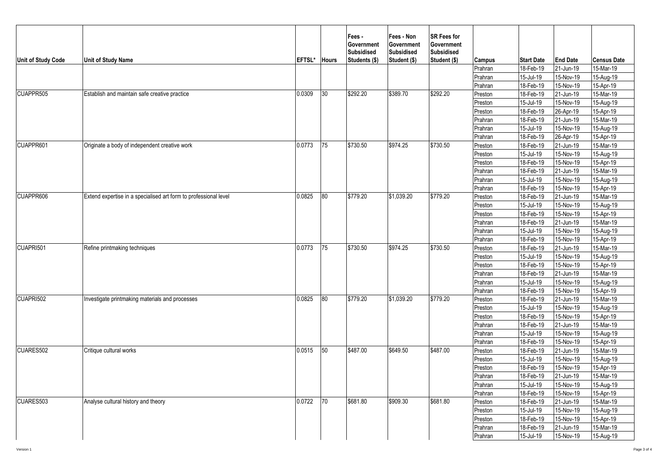| <b>Unit of Study Code</b> | <b>Unit of Study Name</b>                                        | EFTSL* | <b>Hours</b> | Fees -<br>Government<br><b>Subsidised</b><br>Students (\$) | Fees - Non<br>Government<br><b>Subsidised</b><br>Student (\$) | <b>SR Fees for</b><br>Government<br><b>Subsidised</b><br>Student (\$) | Campus  | <b>Start Date</b> | <b>End Date</b> | <b>Census Date</b> |
|---------------------------|------------------------------------------------------------------|--------|--------------|------------------------------------------------------------|---------------------------------------------------------------|-----------------------------------------------------------------------|---------|-------------------|-----------------|--------------------|
|                           |                                                                  |        |              |                                                            |                                                               |                                                                       | Prahran | 18-Feb-19         | 21-Jun-19       | 15-Mar-19          |
|                           |                                                                  |        |              |                                                            |                                                               |                                                                       | Prahran | 15-Jul-19         | 15-Nov-19       | 15-Aug-19          |
|                           |                                                                  |        |              |                                                            |                                                               |                                                                       | Prahran | 18-Feb-19         | 15-Nov-19       | 15-Apr-19          |
| CUAPPR505                 | Establish and maintain safe creative practice                    | 0.0309 | 30           | \$292.20                                                   | \$389.70                                                      | \$292.20                                                              | Preston | 18-Feb-19         | 21-Jun-19       | 15-Mar-19          |
|                           |                                                                  |        |              |                                                            |                                                               |                                                                       | Preston | 15-Jul-19         | 15-Nov-19       | 15-Aug-19          |
|                           |                                                                  |        |              |                                                            |                                                               |                                                                       | Preston | 18-Feb-19         | 26-Apr-19       | 15-Apr-19          |
|                           |                                                                  |        |              |                                                            |                                                               |                                                                       | Prahran | 18-Feb-19         | 21-Jun-19       | 15-Mar-19          |
|                           |                                                                  |        |              |                                                            |                                                               |                                                                       | Prahran | 15-Jul-19         | 15-Nov-19       | 15-Aug-19          |
|                           |                                                                  |        |              |                                                            |                                                               |                                                                       | Prahran | 18-Feb-19         | 26-Apr-19       | 15-Apr-19          |
| CUAPPR601                 | Originate a body of independent creative work                    | 0.0773 | 75           | \$730.50                                                   | \$974.25                                                      | \$730.50                                                              | Preston | 18-Feb-19         | 21-Jun-19       | 15-Mar-19          |
|                           |                                                                  |        |              |                                                            |                                                               |                                                                       | Preston | 15-Jul-19         | 15-Nov-19       | 15-Aug-19          |
|                           |                                                                  |        |              |                                                            |                                                               |                                                                       | Preston | 18-Feb-19         | 15-Nov-19       | 15-Apr-19          |
|                           |                                                                  |        |              |                                                            |                                                               |                                                                       | Prahran | 18-Feb-19         | 21-Jun-19       | 15-Mar-19          |
|                           |                                                                  |        |              |                                                            |                                                               |                                                                       | Prahran | 15-Jul-19         | 15-Nov-19       | 15-Aug-19          |
|                           |                                                                  |        |              |                                                            |                                                               |                                                                       | Prahran | 18-Feb-19         | 15-Nov-19       | 15-Apr-19          |
| CUAPPR606                 | Extend expertise in a specialised art form to professional level | 0.0825 | 80           | \$779.20                                                   | \$1,039.20                                                    | \$779.20                                                              | Preston | 18-Feb-19         | 21-Jun-19       | 15-Mar-19          |
|                           |                                                                  |        |              |                                                            |                                                               |                                                                       | Preston | 15-Jul-19         | 15-Nov-19       | 15-Aug-19          |
|                           |                                                                  |        |              |                                                            |                                                               |                                                                       | Preston | 18-Feb-19         | 15-Nov-19       | 15-Apr-19          |
|                           |                                                                  |        |              |                                                            |                                                               |                                                                       | Prahran | 18-Feb-19         | 21-Jun-19       | 15-Mar-19          |
|                           |                                                                  |        |              |                                                            |                                                               |                                                                       | Prahran | 15-Jul-19         | 15-Nov-19       | 15-Aug-19          |
|                           |                                                                  |        |              |                                                            |                                                               |                                                                       | Prahran | 18-Feb-19         | 15-Nov-19       | 15-Apr-19          |
| CUAPRI501                 | Refine printmaking techniques                                    | 0.0773 | 75           | \$730.50                                                   | \$974.25                                                      | \$730.50                                                              | Preston | 18-Feb-19         | 21-Jun-19       | 15-Mar-19          |
|                           |                                                                  |        |              |                                                            |                                                               |                                                                       | Preston | 15-Jul-19         | 15-Nov-19       | 15-Aug-19          |
|                           |                                                                  |        |              |                                                            |                                                               |                                                                       | Preston | 18-Feb-19         | 15-Nov-19       | 15-Apr-19          |
|                           |                                                                  |        |              |                                                            |                                                               |                                                                       | Prahran | 18-Feb-19         | 21-Jun-19       | 15-Mar-19          |
|                           |                                                                  |        |              |                                                            |                                                               |                                                                       | Prahran | 15-Jul-19         | 15-Nov-19       | 15-Aug-19          |
|                           |                                                                  |        |              |                                                            |                                                               |                                                                       | Prahran | 18-Feb-19         | 15-Nov-19       | 15-Apr-19          |
| CUAPRI502                 | Investigate printmaking materials and processes                  | 0.0825 | 80           | \$779.20                                                   | \$1,039.20                                                    | \$779.20                                                              | Preston | 18-Feb-19         | 21-Jun-19       | 15-Mar-19          |
|                           |                                                                  |        |              |                                                            |                                                               |                                                                       | Preston | 15-Jul-19         | 15-Nov-19       | 15-Aug-19          |
|                           |                                                                  |        |              |                                                            |                                                               |                                                                       | Preston | 18-Feb-19         | 15-Nov-19       | 15-Apr-19          |
|                           |                                                                  |        |              |                                                            |                                                               |                                                                       | Prahran | 18-Feb-19         | 21-Jun-19       | $15-Mar-19$        |
|                           |                                                                  |        |              |                                                            |                                                               |                                                                       | Prahran | 15-Jul-19         | 15-Nov-19       | 15-Aug-19          |
|                           |                                                                  |        |              |                                                            |                                                               |                                                                       | Prahran | 18-Feb-19         | 15-Nov-19       | 15-Apr-19          |
| CUARES502                 | Critique cultural works                                          | 0.0515 | 50           | \$487.00                                                   | \$649.50                                                      | \$487.00                                                              | Preston | 18-Feb-19         | 21-Jun-19       | 15-Mar-19          |
|                           | Analyse cultural history and theory                              |        |              |                                                            |                                                               | \$681.80                                                              | Preston | 15-Jul-19         | 15-Nov-19       | 15-Aug-19          |
|                           |                                                                  |        |              |                                                            |                                                               |                                                                       | Preston | 18-Feb-19         | 15-Nov-19       | 15-Apr-19          |
|                           |                                                                  |        |              |                                                            |                                                               |                                                                       | Prahran | 18-Feb-19         | 21-Jun-19       | 15-Mar-19          |
|                           |                                                                  |        |              |                                                            |                                                               |                                                                       | Prahran | 15-Jul-19         | 15-Nov-19       | 15-Aug-19          |
|                           |                                                                  |        |              |                                                            |                                                               |                                                                       | Prahran | 18-Feb-19         | 15-Nov-19       | $15-Apr-19$        |
| CUARES503                 |                                                                  | 0.0722 | 70           | \$681.80                                                   | \$909.30                                                      |                                                                       | Preston | 18-Feb-19         | 21-Jun-19       | 15-Mar-19          |
|                           |                                                                  |        |              |                                                            |                                                               |                                                                       | Preston | 15-Jul-19         | 15-Nov-19       | 15-Aug-19          |
|                           |                                                                  |        |              |                                                            |                                                               |                                                                       | Preston | 18-Feb-19         | 15-Nov-19       | 15-Apr-19          |
|                           |                                                                  |        |              |                                                            |                                                               |                                                                       | Prahran | 18-Feb-19         | 21-Jun-19       | 15-Mar-19          |
|                           |                                                                  |        |              |                                                            |                                                               |                                                                       | Prahran | 15-Jul-19         | 15-Nov-19       | 15-Aug-19          |